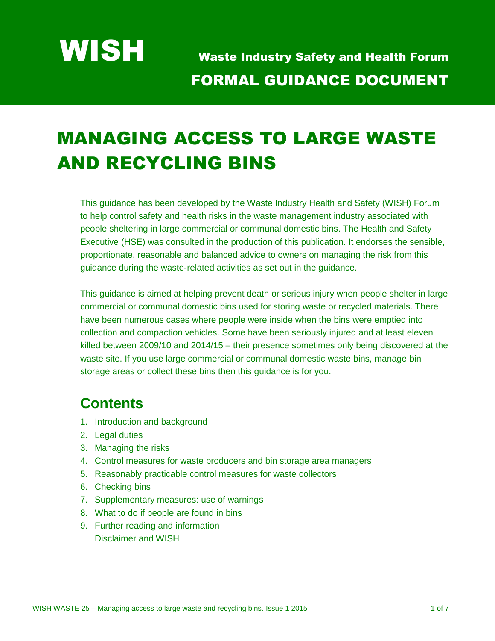# MANAGING ACCESS TO LARGE WASTE AND RECYCLING BINS

This guidance has been developed by the Waste Industry Health and Safety (WISH) Forum to help control safety and health risks in the waste management industry associated with people sheltering in large commercial or communal domestic bins. The Health and Safety Executive (HSE) was consulted in the production of this publication. It endorses the sensible, proportionate, reasonable and balanced advice to owners on managing the risk from this guidance during the waste-related activities as set out in the guidance.

This guidance is aimed at helping prevent death or serious injury when people shelter in large commercial or communal domestic bins used for storing waste or recycled materials. There have been numerous cases where people were inside when the bins were emptied into collection and compaction vehicles. Some have been seriously injured and at least eleven killed between 2009/10 and 2014/15 – their presence sometimes only being discovered at the waste site. If you use large commercial or communal domestic waste bins, manage bin storage areas or collect these bins then this guidance is for you.

### **Contents**

- 1. Introduction and background
- 2. Legal duties
- 3. Managing the risks
- 4. Control measures for waste producers and bin storage area managers
- 5. Reasonably practicable control measures for waste collectors
- 6. Checking bins
- 7. Supplementary measures: use of warnings
- 8. What to do if people are found in bins
- 9. Further reading and information Disclaimer and WISH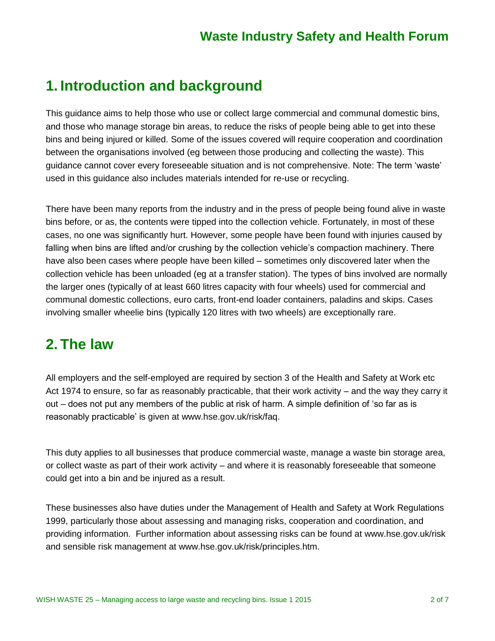#### **1. Introduction and background**

This guidance aims to help those who use or collect large commercial and communal domestic bins, and those who manage storage bin areas, to reduce the risks of people being able to get into these bins and being injured or killed. Some of the issues covered will require cooperation and coordination between the organisations involved (eg between those producing and collecting the waste). This guidance cannot cover every foreseeable situation and is not comprehensive. Note: The term 'waste' used in this guidance also includes materials intended for re-use or recycling.

There have been many reports from the industry and in the press of people being found alive in waste bins before, or as, the contents were tipped into the collection vehicle. Fortunately, in most of these cases, no one was significantly hurt. However, some people have been found with injuries caused by falling when bins are lifted and/or crushing by the collection vehicle's compaction machinery. There have also been cases where people have been killed – sometimes only discovered later when the collection vehicle has been unloaded (eg at a transfer station). The types of bins involved are normally the larger ones (typically of at least 660 litres capacity with four wheels) used for commercial and communal domestic collections, euro carts, front-end loader containers, paladins and skips. Cases involving smaller wheelie bins (typically 120 litres with two wheels) are exceptionally rare.

#### **2. The law**

All employers and the self-employed are required by section 3 of the Health and Safety at Work etc Act 1974 to ensure, so far as reasonably practicable, that their work activity – and the way they carry it out – does not put any members of the public at risk of harm. A simple definition of 'so far as is reasonably practicable' is given at [www.hse.gov.uk/risk/faq.](http://www.hse.gov.uk/risk/faq)

This duty applies to all businesses that produce commercial waste, manage a waste bin storage area, or collect waste as part of their work activity – and where it is reasonably foreseeable that someone could get into a bin and be injured as a result.

These businesses also have duties under the Management of Health and Safety at Work Regulations 1999, particularly those about assessing and managing risks, cooperation and coordination, and providing information. Further information about assessing risks can be found at [www.hse.gov.uk/risk](http://www.hse.gov.uk/risk) and sensible risk management at [www.hse.gov.uk/risk/principles.htm.](http://www.hse.gov.uk/risk/principles.htm)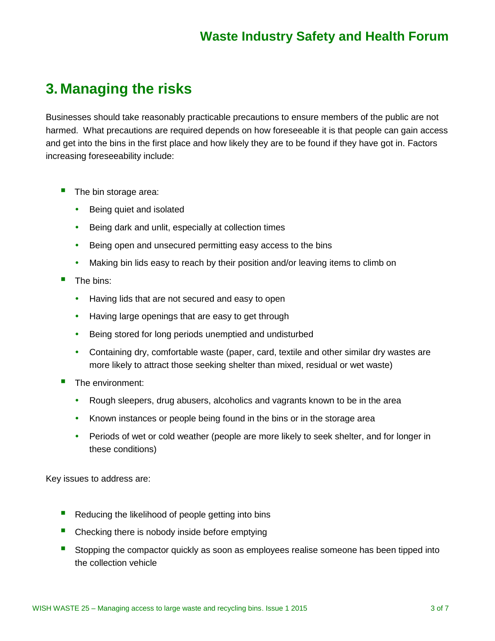# **3. Managing the risks**

Businesses should take reasonably practicable precautions to ensure members of the public are not harmed. What precautions are required depends on how foreseeable it is that people can gain access and get into the bins in the first place and how likely they are to be found if they have got in. Factors increasing foreseeability include:

- The bin storage area:
	- Being quiet and isolated
	- Being dark and unlit, especially at collection times
	- Being open and unsecured permitting easy access to the bins
	- Making bin lids easy to reach by their position and/or leaving items to climb on
- The bins:
	- Having lids that are not secured and easy to open
	- Having large openings that are easy to get through
	- Being stored for long periods unemptied and undisturbed
	- Containing dry, comfortable waste (paper, card, textile and other similar dry wastes are more likely to attract those seeking shelter than mixed, residual or wet waste)
- The environment:
	- Rough sleepers, drug abusers, alcoholics and vagrants known to be in the area
	- Known instances or people being found in the bins or in the storage area
	- Periods of wet or cold weather (people are more likely to seek shelter, and for longer in these conditions)

Key issues to address are:

- Reducing the likelihood of people getting into bins
- Checking there is nobody inside before emptying
- Stopping the compactor quickly as soon as employees realise someone has been tipped into the collection vehicle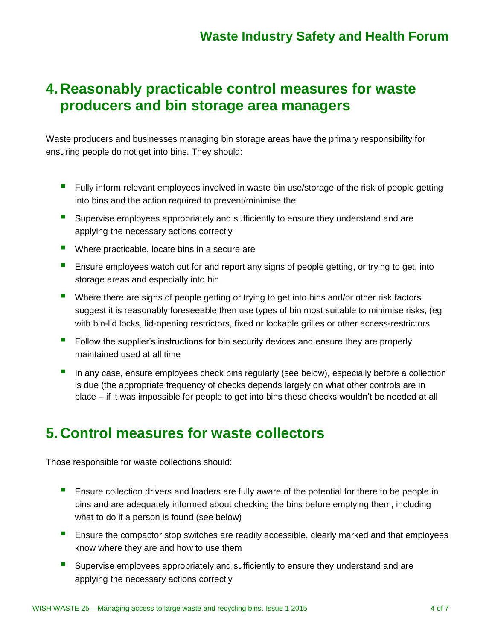## **4. Reasonably practicable control measures for waste producers and bin storage area managers**

Waste producers and businesses managing bin storage areas have the primary responsibility for ensuring people do not get into bins. They should:

- Fully inform relevant employees involved in waste bin use/storage of the risk of people getting into bins and the action required to prevent/minimise the
- **Supervise employees appropriately and sufficiently to ensure they understand and are** applying the necessary actions correctly
- Where practicable, locate bins in a secure are
- **E** Ensure employees watch out for and report any signs of people getting, or trying to get, into storage areas and especially into bin
- Where there are signs of people getting or trying to get into bins and/or other risk factors suggest it is reasonably foreseeable then use types of bin most suitable to minimise risks, (eg with bin-lid locks, lid-opening restrictors, fixed or lockable grilles or other access-restrictors
- Follow the supplier's instructions for bin security devices and ensure they are properly maintained used at all time
- In any case, ensure employees check bins regularly (see below), especially before a collection is due (the appropriate frequency of checks depends largely on what other controls are in place – if it was impossible for people to get into bins these checks wouldn't be needed at all

#### **5. Control measures for waste collectors**

Those responsible for waste collections should:

- **Ensure collection drivers and loaders are fully aware of the potential for there to be people in** bins and are adequately informed about checking the bins before emptying them, including what to do if a person is found (see below)
- **Ensure the compactor stop switches are readily accessible, clearly marked and that employees** know where they are and how to use them
- Supervise employees appropriately and sufficiently to ensure they understand and are applying the necessary actions correctly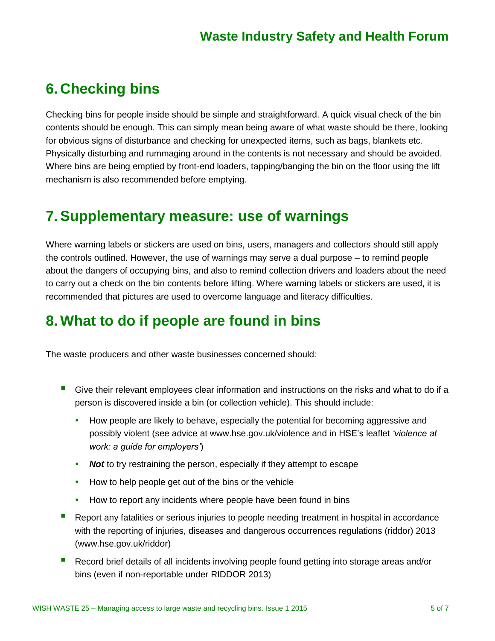# **6. Checking bins**

Checking bins for people inside should be simple and straightforward. A quick visual check of the bin contents should be enough. This can simply mean being aware of what waste should be there, looking for obvious signs of disturbance and checking for unexpected items, such as bags, blankets etc. Physically disturbing and rummaging around in the contents is not necessary and should be avoided. Where bins are being emptied by front-end loaders, tapping/banging the bin on the floor using the lift mechanism is also recommended before emptying.

# **7.Supplementary measure: use of warnings**

Where warning labels or stickers are used on bins, users, managers and collectors should still apply the controls outlined. However, the use of warnings may serve a dual purpose – to remind people about the dangers of occupying bins, and also to remind collection drivers and loaders about the need to carry out a check on the bin contents before lifting. Where warning labels or stickers are used, it is recommended that pictures are used to overcome language and literacy difficulties.

# **8. What to do if people are found in bins**

The waste producers and other waste businesses concerned should:

- Give their relevant employees clear information and instructions on the risks and what to do if a person is discovered inside a bin (or collection vehicle). This should include:
	- How people are likely to behave, especially the potential for becoming aggressive and possibly violent (see advice at www.hse.gov.uk/violence and in HSE's leaflet *'violence at work: a guide for employers'*)
	- **Not** to try restraining the person, especially if they attempt to escape
	- How to help people get out of the bins or the vehicle
	- How to report any incidents where people have been found in bins
- Report any fatalities or serious injuries to people needing treatment in hospital in accordance with the reporting of injuries, diseases and dangerous occurrences regulations (riddor) 2013 [\(www.hse.gov.uk/riddor\)](http://www.hse.gov.uk/riddor)
- Record brief details of all incidents involving people found getting into storage areas and/or bins (even if non-reportable under RIDDOR 2013)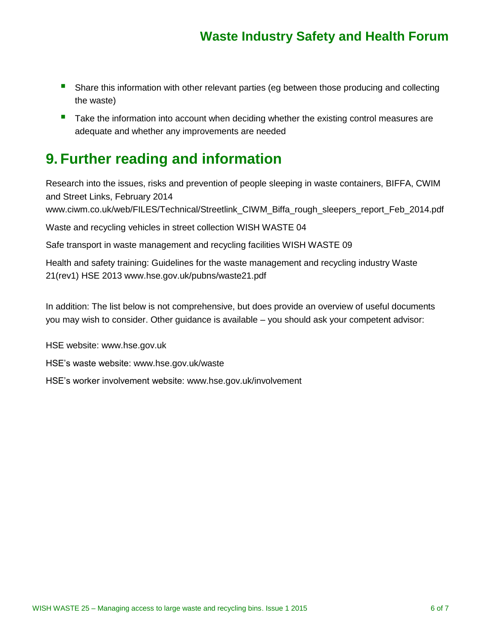- **Share this information with other relevant parties (eg between those producing and collecting** the waste)
- **Take the information into account when deciding whether the existing control measures are** adequate and whether any improvements are needed

# **9. Further reading and information**

Research into the issues, risks and prevention of people sleeping in waste containers, BIFFA, CWIM and Street Links, February 2014

[www.ciwm.co.uk/web/FILES/Technical/Streetlink\\_CIWM\\_Biffa\\_rough\\_sleepers\\_report\\_Feb\\_2014.pdf](http://www.ciwm.co.uk/web/FILES/Technical/Streetlink_CIWM_Biffa_rough_sleepers_report_Feb_2014.pdf)

Waste and recycling vehicles in street collection WISH WASTE 04

Safe transport in waste management and recycling facilities WISH WASTE 09

Health and safety training: Guidelines for the waste management and recycling industry Waste 21(rev1) HSE 2013 [www.hse.gov.uk/pubns/waste21.pdf](http://www.hse.gov.uk/pubns/waste21.pdf)

In addition: The list below is not comprehensive, but does provide an overview of useful documents you may wish to consider. Other guidance is available – you should ask your competent advisor:

HSE website: [www.hse.gov.uk](http://www.hse.gov.uk/)

HSE's waste website: [www.hse.gov.uk/waste](http://www.hse.gov.uk/waste)

HSE's worker involvement website: [www.hse.gov.uk/involvement](http://www.hse.gov.uk/involvement)